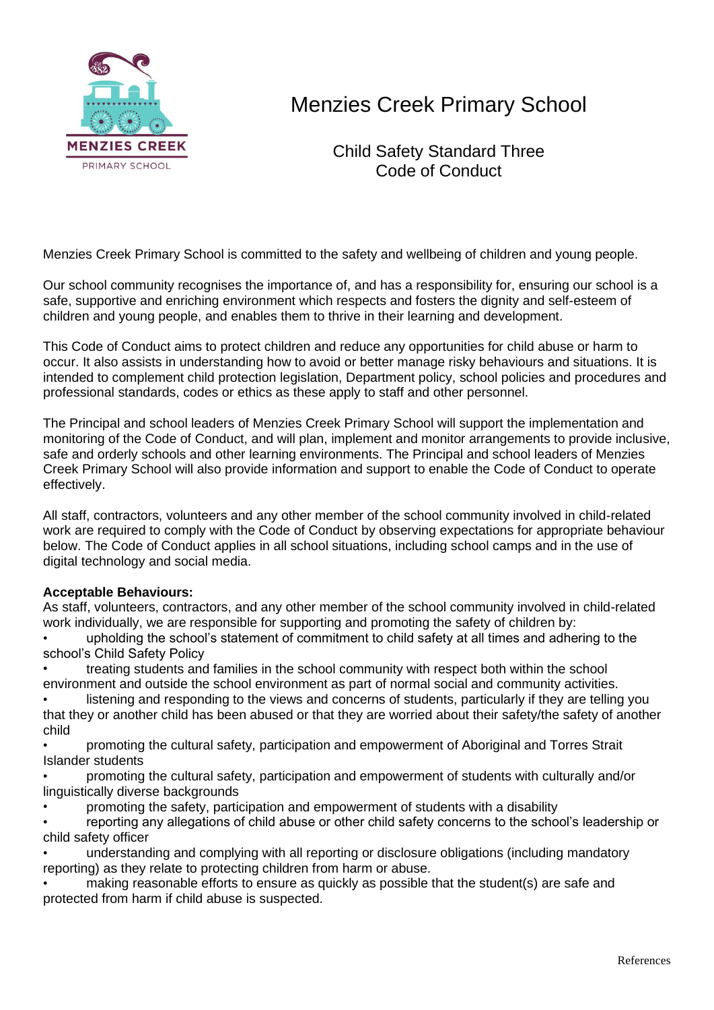

## Menzies Creek Primary School

Child Safety Standard Three Code of Conduct

Menzies Creek Primary School is committed to the safety and wellbeing of children and young people.

Our school community recognises the importance of, and has a responsibility for, ensuring our school is a safe, supportive and enriching environment which respects and fosters the dignity and self-esteem of children and young people, and enables them to thrive in their learning and development.

This Code of Conduct aims to protect children and reduce any opportunities for child abuse or harm to occur. It also assists in understanding how to avoid or better manage risky behaviours and situations. It is intended to complement child protection legislation, Department policy, school policies and procedures and professional standards, codes or ethics as these apply to staff and other personnel.

The Principal and school leaders of Menzies Creek Primary School will support the implementation and monitoring of the Code of Conduct, and will plan, implement and monitor arrangements to provide inclusive, safe and orderly schools and other learning environments. The Principal and school leaders of Menzies Creek Primary School will also provide information and support to enable the Code of Conduct to operate effectively.

All staff, contractors, volunteers and any other member of the school community involved in child-related work are required to comply with the Code of Conduct by observing expectations for appropriate behaviour below. The Code of Conduct applies in all school situations, including school camps and in the use of digital technology and social media.

## **Acceptable Behaviours:**

As staff, volunteers, contractors, and any other member of the school community involved in child-related work individually, we are responsible for supporting and promoting the safety of children by:

• upholding the school's statement of commitment to child safety at all times and adhering to the school's Child Safety Policy

• treating students and families in the school community with respect both within the school environment and outside the school environment as part of normal social and community activities.

listening and responding to the views and concerns of students, particularly if they are telling you that they or another child has been abused or that they are worried about their safety/the safety of another child

• promoting the cultural safety, participation and empowerment of Aboriginal and Torres Strait Islander students

• promoting the cultural safety, participation and empowerment of students with culturally and/or linguistically diverse backgrounds

• promoting the safety, participation and empowerment of students with a disability

• reporting any allegations of child abuse or other child safety concerns to the school's leadership or child safety officer

• understanding and complying with all reporting or disclosure obligations (including mandatory reporting) as they relate to protecting children from harm or abuse.

• making reasonable efforts to ensure as quickly as possible that the student(s) are safe and protected from harm if child abuse is suspected.